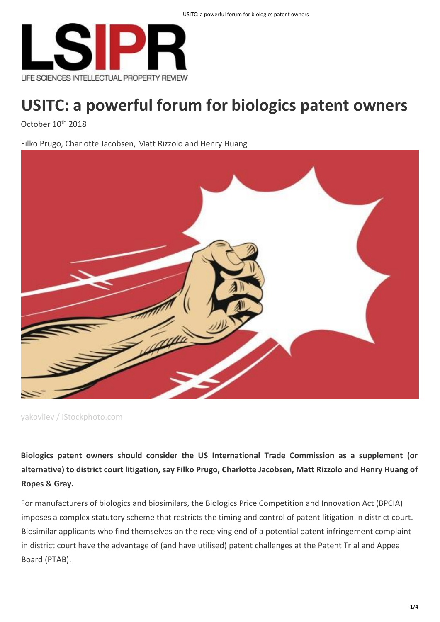

October 10<sup>th</sup> 2018

Filko Prugo, Charlotte Jacobsen, Matt Rizzolo and Henry Huang



yakovliev / iStockphoto.com

**Biologics patent owners should consider the US International Trade Commission as a supplement (or alternative) to district court litigation, say Filko Prugo, Charlotte Jacobsen, Matt Rizzolo and Henry Huang of Ropes & Gray.**

For manufacturers of biologics and biosimilars, the Biologics Price Competition and Innovation Act (BPCIA) imposes a complex statutory scheme that restricts the timing and control of patent litigation in district court. Biosimilar applicants who find themselves on the receiving end of a potential patent infringement complaint in district court have the advantage of (and have utilised) patent challenges at the Patent Trial and Appeal Board (PTAB).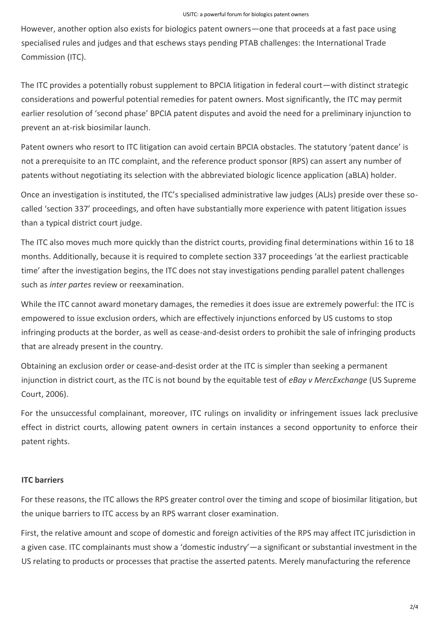However, another option also exists for biologics patent owners—one that proceeds at a fast pace using specialised rules and judges and that eschews stays pending PTAB challenges: the International Trade Commission (ITC).

The ITC provides a potentially robust supplement to BPCIA litigation in federal court—with distinct strategic considerations and powerful potential remedies for patent owners. Most significantly, the ITC may permit earlier resolution of 'second phase' BPCIA patent disputes and avoid the need for a preliminary injunction to prevent an at-risk biosimilar launch.

Patent owners who resort to ITC litigation can avoid certain BPCIA obstacles. The statutory 'patent dance' is not a prerequisite to an ITC complaint, and the reference product sponsor (RPS) can assert any number of patents without negotiating its selection with the abbreviated biologic licence application (aBLA) holder.

Once an investigation is instituted, the ITC's specialised administrative law judges (ALJs) preside over these socalled 'section 337' proceedings, and often have substantially more experience with patent litigation issues than a typical district court judge.

The ITC also moves much more quickly than the district courts, providing final determinations within 16 to 18 months. Additionally, because it is required to complete section 337 proceedings 'at the earliest practicable time' after the investigation begins, the ITC does not stay investigations pending parallel patent challenges such as *inter partes* review or reexamination.

While the ITC cannot award monetary damages, the remedies it does issue are extremely powerful: the ITC is empowered to issue exclusion orders, which are effectively injunctions enforced by US customs to stop infringing products at the border, as well as cease-and-desist orders to prohibit the sale of infringing products that are already present in the country.

Obtaining an exclusion order or cease-and-desist order at the ITC is simpler than seeking a permanent injunction in district court, as the ITC is not bound by the equitable test of *eBay v MercExchange* (US Supreme Court, 2006).

For the unsuccessful complainant, moreover, ITC rulings on invalidity or infringement issues lack preclusive effect in district courts, allowing patent owners in certain instances a second opportunity to enforce their patent rights.

## **ITC barriers**

For these reasons, the ITC allows the RPS greater control over the timing and scope of biosimilar litigation, but the unique barriers to ITC access by an RPS warrant closer examination.

First, the relative amount and scope of domestic and foreign activities of the RPS may affect ITC jurisdiction in a given case. ITC complainants must show a 'domestic industry'—a significant or substantial investment in the US relating to products or processes that practise the asserted patents. Merely manufacturing the reference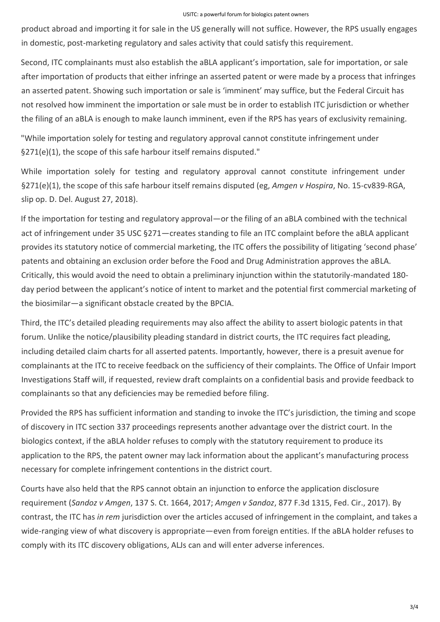product abroad and importing it for sale in the US generally will not suffice. However, the RPS usually engages in domestic, post-marketing regulatory and sales activity that could satisfy this requirement.

Second, ITC complainants must also establish the aBLA applicant's importation, sale for importation, or sale after importation of products that either infringe an asserted patent or were made by a process that infringes an asserted patent. Showing such importation or sale is 'imminent' may suffice, but the Federal Circuit has not resolved how imminent the importation or sale must be in order to establish ITC jurisdiction or whether the filing of an aBLA is enough to make launch imminent, even if the RPS has years of exclusivity remaining.

"While importation solely for testing and regulatory approval cannot constitute infringement under §271(e)(1), the scope of this safe harbour itself remains disputed."

While importation solely for testing and regulatory approval cannot constitute infringement under §271(e)(1), the scope of this safe harbour itself remains disputed (eg, *Amgen v Hospira*, No. 15-cv839-RGA, slip op. D. Del. August 27, 2018).

If the importation for testing and regulatory approval—or the filing of an aBLA combined with the technical act of infringement under 35 USC §271—creates standing to file an ITC complaint before the aBLA applicant provides its statutory notice of commercial marketing, the ITC offers the possibility of litigating 'second phase' patents and obtaining an exclusion order before the Food and Drug Administration approves the aBLA. Critically, this would avoid the need to obtain a preliminary injunction within the statutorily-mandated 180 day period between the applicant's notice of intent to market and the potential first commercial marketing of the biosimilar—a significant obstacle created by the BPCIA.

Third, the ITC's detailed pleading requirements may also affect the ability to assert biologic patents in that forum. Unlike the notice/plausibility pleading standard in district courts, the ITC requires fact pleading, including detailed claim charts for all asserted patents. Importantly, however, there is a presuit avenue for complainants at the ITC to receive feedback on the sufficiency of their complaints. The Office of Unfair Import Investigations Staff will, if requested, review draft complaints on a confidential basis and provide feedback to complainants so that any deficiencies may be remedied before filing.

Provided the RPS has sufficient information and standing to invoke the ITC's jurisdiction, the timing and scope of discovery in ITC section 337 proceedings represents another advantage over the district court. In the biologics context, if the aBLA holder refuses to comply with the statutory requirement to produce its application to the RPS, the patent owner may lack information about the applicant's manufacturing process necessary for complete infringement contentions in the district court.

Courts have also held that the RPS cannot obtain an injunction to enforce the application disclosure requirement (*Sandoz v Amgen*, 137 S. Ct. 1664, 2017; *Amgen v Sandoz*, 877 F.3d 1315, Fed. Cir., 2017). By contrast, the ITC has *in rem* jurisdiction over the articles accused of infringement in the complaint, and takes a wide-ranging view of what discovery is appropriate—even from foreign entities. If the aBLA holder refuses to comply with its ITC discovery obligations, ALJs can and will enter adverse inferences.